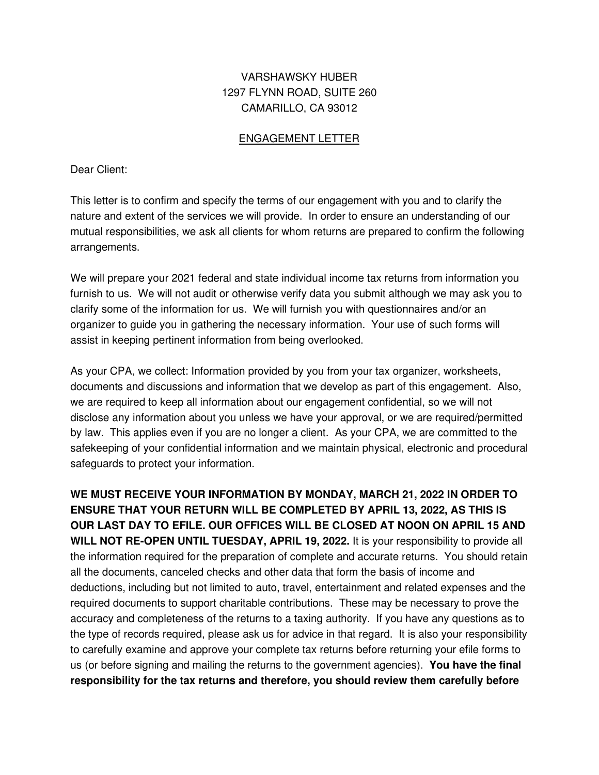## VARSHAWSKY HUBER 1297 FLYNN ROAD, SUITE 260 CAMARILLO, CA 93012

## ENGAGEMENT LETTER

Dear Client:

This letter is to confirm and specify the terms of our engagement with you and to clarify the nature and extent of the services we will provide. In order to ensure an understanding of our mutual responsibilities, we ask all clients for whom returns are prepared to confirm the following arrangements.

We will prepare your 2021 federal and state individual income tax returns from information you furnish to us. We will not audit or otherwise verify data you submit although we may ask you to clarify some of the information for us. We will furnish you with questionnaires and/or an organizer to guide you in gathering the necessary information. Your use of such forms will assist in keeping pertinent information from being overlooked.

As your CPA, we collect: Information provided by you from your tax organizer, worksheets, documents and discussions and information that we develop as part of this engagement. Also, we are required to keep all information about our engagement confidential, so we will not disclose any information about you unless we have your approval, or we are required/permitted by law. This applies even if you are no longer a client. As your CPA, we are committed to the safekeeping of your confidential information and we maintain physical, electronic and procedural safeguards to protect your information.

**WE MUST RECEIVE YOUR INFORMATION BY MONDAY, MARCH 21, 2022 IN ORDER TO ENSURE THAT YOUR RETURN WILL BE COMPLETED BY APRIL 13, 2022, AS THIS IS OUR LAST DAY TO EFILE. OUR OFFICES WILL BE CLOSED AT NOON ON APRIL 15 AND WILL NOT RE-OPEN UNTIL TUESDAY, APRIL 19, 2022.** It is your responsibility to provide all the information required for the preparation of complete and accurate returns. You should retain all the documents, canceled checks and other data that form the basis of income and deductions, including but not limited to auto, travel, entertainment and related expenses and the required documents to support charitable contributions. These may be necessary to prove the accuracy and completeness of the returns to a taxing authority. If you have any questions as to the type of records required, please ask us for advice in that regard. It is also your responsibility to carefully examine and approve your complete tax returns before returning your efile forms to us (or before signing and mailing the returns to the government agencies). **You have the final responsibility for the tax returns and therefore, you should review them carefully before**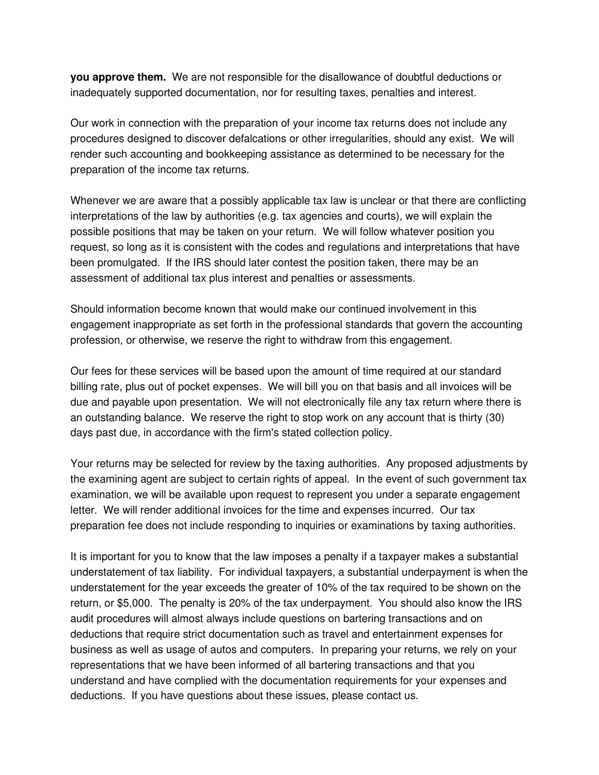**you approve them.** We are not responsible for the disallowance of doubtful deductions or inadequately supported documentation, nor for resulting taxes, penalties and interest.

Our work in connection with the preparation of your income tax returns does not include any procedures designed to discover defalcations or other irregularities, should any exist. We will render such accounting and bookkeeping assistance as determined to be necessary for the preparation of the income tax returns.

Whenever we are aware that a possibly applicable tax law is unclear or that there are conflicting interpretations of the law by authorities (e.g. tax agencies and courts), we will explain the possible positions that may be taken on your return. We will follow whatever position you request, so long as it is consistent with the codes and regulations and interpretations that have been promulgated. If the IRS should later contest the position taken, there may be an assessment of additional tax plus interest and penalties or assessments.

Should information become known that would make our continued involvement in this engagement inappropriate as set forth in the professional standards that govern the accounting profession, or otherwise, we reserve the right to withdraw from this engagement.

Our fees for these services will be based upon the amount of time required at our standard billing rate, plus out of pocket expenses. We will bill you on that basis and all invoices will be due and payable upon presentation. We will not electronically file any tax return where there is an outstanding balance. We reserve the right to stop work on any account that is thirty (30) days past due, in accordance with the firm's stated collection policy.

Your returns may be selected for review by the taxing authorities. Any proposed adjustments by the examining agent are subject to certain rights of appeal. In the event of such government tax examination, we will be available upon request to represent you under a separate engagement letter. We will render additional invoices for the time and expenses incurred. Our tax preparation fee does not include responding to inquiries or examinations by taxing authorities.

It is important for you to know that the law imposes a penalty if a taxpayer makes a substantial understatement of tax liability. For individual taxpayers, a substantial underpayment is when the understatement for the year exceeds the greater of 10% of the tax required to be shown on the return, or \$5,000. The penalty is 20% of the tax underpayment. You should also know the IRS audit procedures will almost always include questions on bartering transactions and on deductions that require strict documentation such as travel and entertainment expenses for business as well as usage of autos and computers. In preparing your returns, we rely on your representations that we have been informed of all bartering transactions and that you understand and have complied with the documentation requirements for your expenses and deductions. If you have questions about these issues, please contact us.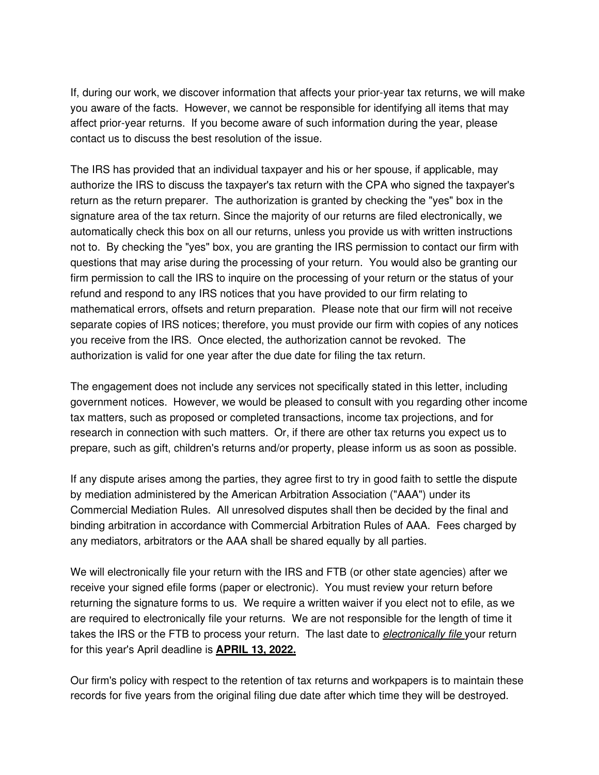If, during our work, we discover information that affects your prior-year tax returns, we will make you aware of the facts. However, we cannot be responsible for identifying all items that may affect prior-year returns. If you become aware of such information during the year, please contact us to discuss the best resolution of the issue.

The IRS has provided that an individual taxpayer and his or her spouse, if applicable, may authorize the IRS to discuss the taxpayer's tax return with the CPA who signed the taxpayer's return as the return preparer. The authorization is granted by checking the "yes" box in the signature area of the tax return. Since the majority of our returns are filed electronically, we automatically check this box on all our returns, unless you provide us with written instructions not to. By checking the "yes" box, you are granting the IRS permission to contact our firm with questions that may arise during the processing of your return. You would also be granting our firm permission to call the IRS to inquire on the processing of your return or the status of your refund and respond to any IRS notices that you have provided to our firm relating to mathematical errors, offsets and return preparation. Please note that our firm will not receive separate copies of IRS notices; therefore, you must provide our firm with copies of any notices you receive from the IRS. Once elected, the authorization cannot be revoked. The authorization is valid for one year after the due date for filing the tax return.

The engagement does not include any services not specifically stated in this letter, including government notices. However, we would be pleased to consult with you regarding other income tax matters, such as proposed or completed transactions, income tax projections, and for research in connection with such matters. Or, if there are other tax returns you expect us to prepare, such as gift, children's returns and/or property, please inform us as soon as possible.

If any dispute arises among the parties, they agree first to try in good faith to settle the dispute by mediation administered by the American Arbitration Association ("AAA") under its Commercial Mediation Rules. All unresolved disputes shall then be decided by the final and binding arbitration in accordance with Commercial Arbitration Rules of AAA. Fees charged by any mediators, arbitrators or the AAA shall be shared equally by all parties.

We will electronically file your return with the IRS and FTB (or other state agencies) after we receive your signed efile forms (paper or electronic). You must review your return before returning the signature forms to us. We require a written waiver if you elect not to efile, as we are required to electronically file your returns. We are not responsible for the length of time it takes the IRS or the FTB to process your return. The last date to *electronically file* your return for this year's April deadline is **APRIL 13, 2022.**

Our firm's policy with respect to the retention of tax returns and workpapers is to maintain these records for five years from the original filing due date after which time they will be destroyed.